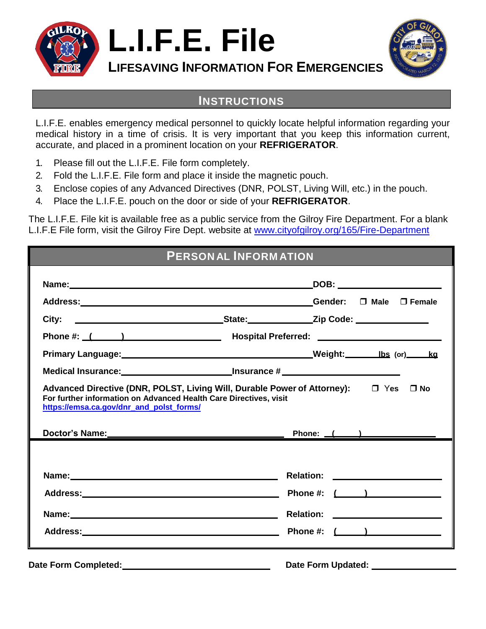

**L.I.F.E. File**



**LIFESAVING INFORMATION FOR EMERGENCIES**

## **INSTRUCTIONS**

L.I.F.E. enables emergency medical personnel to quickly locate helpful information regarding your medical history in a time of crisis. It is very important that you keep this information current, accurate, and placed in a prominent location on your **REFRIGERATOR**.

- 1. Please fill out the L.I.F.E. File form completely.
- 2. Fold the L.I.F.E. File form and place it inside the magnetic pouch.
- 3. Enclose copies of any Advanced Directives (DNR, POLST, Living Will, etc.) in the pouch.
- 4. Place the L.I.F.E. pouch on the door or side of your **REFRIGERATOR**.

The L.I.F.E. File kit is available free as a public service from the Gilroy Fire Department. For a blank L.I.F.E File form, visit the Gilroy Fire Dept. website at [www.cityofgilroy.org/165/Fire-Department](http://www.cityofgilroy.org/165/Fire-Department)

| <b>PERSONAL INFORMATION</b>              |                                                                                                                |  |  |
|------------------------------------------|----------------------------------------------------------------------------------------------------------------|--|--|
|                                          |                                                                                                                |  |  |
|                                          |                                                                                                                |  |  |
| City:                                    | <u>State: Zip Code:</u> Zip Code:                                                                              |  |  |
|                                          |                                                                                                                |  |  |
|                                          | Primary Language: Manuscription and Meight: Meight: Meight: Manuscription and Meight: Manuscription and Meight |  |  |
|                                          |                                                                                                                |  |  |
| https://emsa.ca.gov/dnr_and_polst_forms/ | Doctor's Name: Phone: (interval)                                                                               |  |  |
|                                          |                                                                                                                |  |  |
|                                          |                                                                                                                |  |  |
|                                          |                                                                                                                |  |  |
|                                          |                                                                                                                |  |  |
| <b>Date Form Completed:</b>              | <b>Date Form Updated:</b>                                                                                      |  |  |